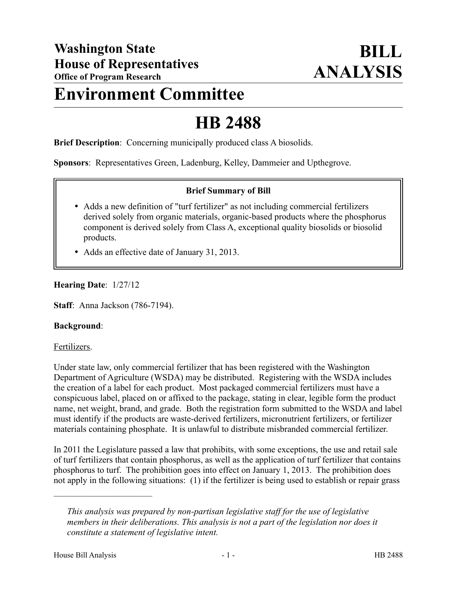## **Environment Committee**

# **HB 2488**

**Brief Description**: Concerning municipally produced class A biosolids.

**Sponsors**: Representatives Green, Ladenburg, Kelley, Dammeier and Upthegrove.

#### **Brief Summary of Bill**

- Adds a new definition of "turf fertilizer" as not including commercial fertilizers derived solely from organic materials, organic-based products where the phosphorus component is derived solely from Class A, exceptional quality biosolids or biosolid products.
- Adds an effective date of January 31, 2013.

### **Hearing Date**: 1/27/12

**Staff**: Anna Jackson (786-7194).

#### **Background**:

#### Fertilizers.

Under state law, only commercial fertilizer that has been registered with the Washington Department of Agriculture (WSDA) may be distributed. Registering with the WSDA includes the creation of a label for each product. Most packaged commercial fertilizers must have a conspicuous label, placed on or affixed to the package, stating in clear, legible form the product name, net weight, brand, and grade. Both the registration form submitted to the WSDA and label must identify if the products are waste-derived fertilizers, micronutrient fertilizers, or fertilizer materials containing phosphate. It is unlawful to distribute misbranded commercial fertilizer.

In 2011 the Legislature passed a law that prohibits, with some exceptions, the use and retail sale of turf fertilizers that contain phosphorus, as well as the application of turf fertilizer that contains phosphorus to turf. The prohibition goes into effect on January 1, 2013. The prohibition does not apply in the following situations: (1) if the fertilizer is being used to establish or repair grass

––––––––––––––––––––––

*This analysis was prepared by non-partisan legislative staff for the use of legislative members in their deliberations. This analysis is not a part of the legislation nor does it constitute a statement of legislative intent.*